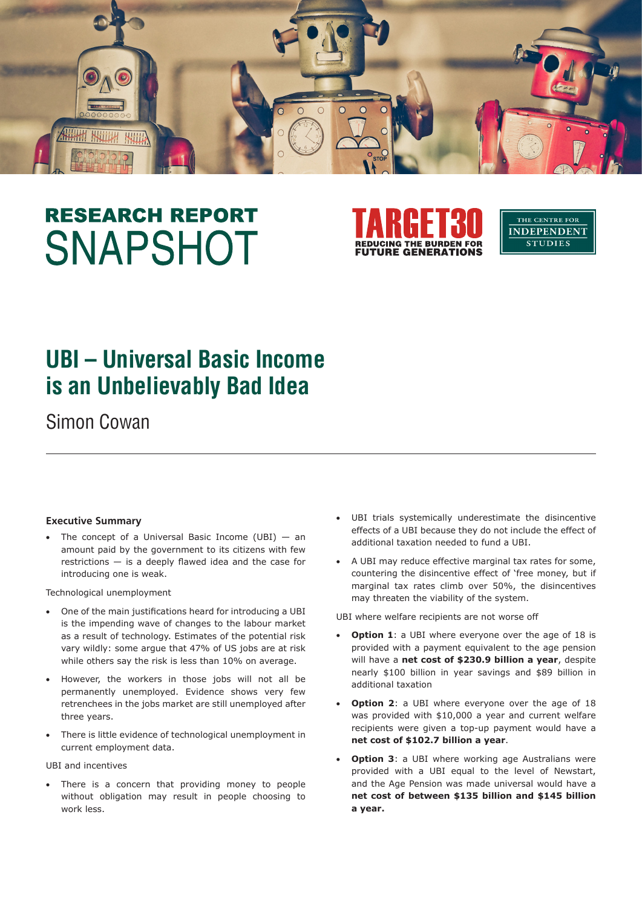

# **RESEARCH REPORT SNAPSHOT**



THE CENTRE FOR **INDEPENDENT STUDIES** 

# **UBI – Universal Basic Income is an Unbelievably Bad Idea**

Simon Cowan

#### **Executive Summary**

The concept of a Universal Basic Income (UBI)  $-$  an amount paid by the government to its citizens with few restrictions — is a deeply flawed idea and the case for introducing one is weak.

Technological unemployment

- One of the main justifications heard for introducing a UBI is the impending wave of changes to the labour market as a result of technology. Estimates of the potential risk vary wildly: some argue that 47% of US jobs are at risk while others say the risk is less than 10% on average.
- However, the workers in those jobs will not all be permanently unemployed. Evidence shows very few retrenchees in the jobs market are still unemployed after three years.
- There is little evidence of technological unemployment in current employment data.

UBI and incentives

There is a concern that providing money to people without obligation may result in people choosing to work less.

- UBI trials systemically underestimate the disincentive effects of a UBI because they do not include the effect of additional taxation needed to fund a UBI.
- • A UBI may reduce effective marginal tax rates for some, countering the disincentive effect of 'free money, but if marginal tax rates climb over 50%, the disincentives may threaten the viability of the system.

UBI where welfare recipients are not worse off

- **Option 1**: a UBI where everyone over the age of 18 is provided with a payment equivalent to the age pension will have a **net cost of \$230.9 billion a year**, despite nearly \$100 billion in year savings and \$89 billion in additional taxation
- **Option 2**: a UBI where everyone over the age of 18 was provided with \$10,000 a year and current welfare recipients were given a top-up payment would have a **net cost of \$102.7 billion a year**.
- **Option 3**: a UBI where working age Australians were provided with a UBI equal to the level of Newstart, and the Age Pension was made universal would have a **net cost of between \$135 billion and \$145 billion a year.**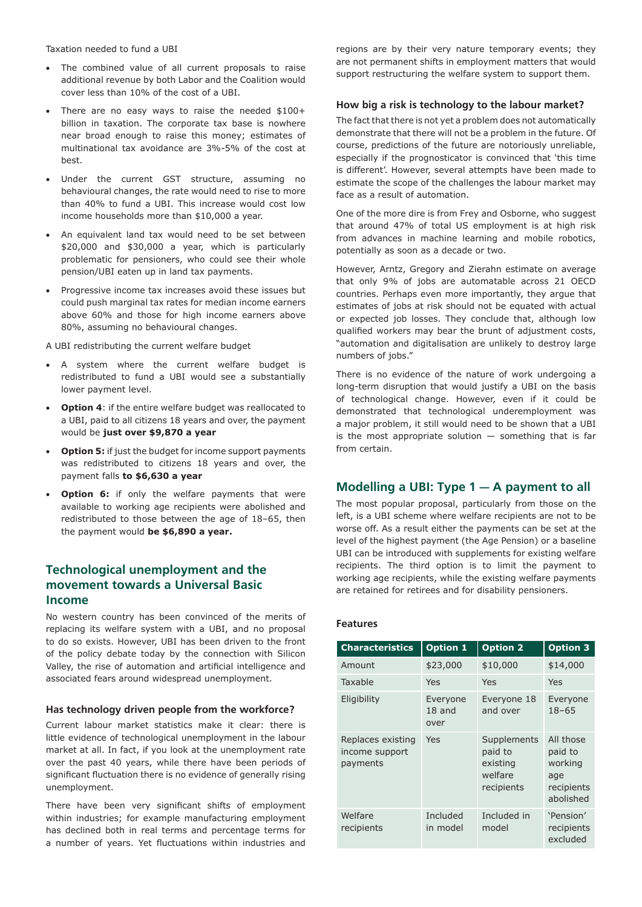Taxation needed to fund a UBI

- The combined value of all current proposals to raise additional revenue by both Labor and the Coalition would cover less than 10% of the cost of a UBI.
- There are no easy ways to raise the needed \$100+ billion in taxation. The corporate tax base is nowhere near broad enough to raise this money; estimates of multinational tax avoidance are 3%-5% of the cost at best.
- Under the current GST structure, assuming no behavioural changes, the rate would need to rise to more than 40% to fund a UBI. This increase would cost low income households more than \$10,000 a year.
- An equivalent land tax would need to be set between \$20,000 and \$30,000 a year, which is particularly problematic for pensioners, who could see their whole pension/UBI eaten up in land tax payments.
- • Progressive income tax increases avoid these issues but could push marginal tax rates for median income earners above 60% and those for high income earners above 80%, assuming no behavioural changes.

A UBI redistributing the current welfare budget

- • A system where the current welfare budget is redistributed to fund a UBI would see a substantially lower payment level.
- **Option 4:** if the entire welfare budget was reallocated to a UBI, paid to all citizens 18 years and over, the payment would be **just over \$9,870 a year**
- • **Option 5:** if just the budget for income support payments was redistributed to citizens 18 years and over, the payment falls **to \$6,630 a year**
- **Option 6:** if only the welfare payments that were available to working age recipients were abolished and redistributed to those between the age of 18–65, then the payment would **be \$6,890 a year.**

# **Technological unemployment and the movement towards a Universal Basic Income**

No western country has been convinced of the merits of replacing its welfare system with a UBI, and no proposal to do so exists. However, UBI has been driven to the front of the policy debate today by the connection with Silicon Valley, the rise of automation and artificial intelligence and associated fears around widespread unemployment.

#### **Has technology driven people from the workforce?**

Current labour market statistics make it clear: there is little evidence of technological unemployment in the labour market at all. In fact, if you look at the unemployment rate over the past 40 years, while there have been periods of significant fluctuation there is no evidence of generally rising unemployment.

There have been very significant shifts of employment within industries; for example manufacturing employment has declined both in real terms and percentage terms for a number of years. Yet fluctuations within industries and regions are by their very nature temporary events; they are not permanent shifts in employment matters that would support restructuring the welfare system to support them.

#### **How big a risk is technology to the labour market?**

The fact that there is not yet a problem does not automatically demonstrate that there will not be a problem in the future. Of course, predictions of the future are notoriously unreliable, especially if the prognosticator is convinced that 'this time is different'. However, several attempts have been made to estimate the scope of the challenges the labour market may face as a result of automation.

One of the more dire is from Frey and Osborne, who suggest that around 47% of total US employment is at high risk from advances in machine learning and mobile robotics, potentially as soon as a decade or two.

However, Arntz, Gregory and Zierahn estimate on average that only 9% of jobs are automatable across 21 OECD countries. Perhaps even more importantly, they argue that estimates of jobs at risk should not be equated with actual or expected job losses. They conclude that, although low qualified workers may bear the brunt of adjustment costs, "automation and digitalisation are unlikely to destroy large numbers of jobs."

There is no evidence of the nature of work undergoing a long-term disruption that would justify a UBI on the basis of technological change. However, even if it could be demonstrated that technological underemployment was a major problem, it still would need to be shown that a UBI is the most appropriate solution  $-$  something that is far from certain.

### **Modelling a UBI: Type 1 — A payment to all**

The most popular proposal, particularly from those on the left, is a UBI scheme where welfare recipients are not to be worse off. As a result either the payments can be set at the level of the highest payment (the Age Pension) or a baseline UBI can be introduced with supplements for existing welfare recipients. The third option is to limit the payment to working age recipients, while the existing welfare payments are retained for retirees and for disability pensioners.

#### **Features**

| <b>Characteristics</b>                          | <b>Option 1</b>              | <b>Option 2</b>                                             | <b>Option 3</b>                                                   |
|-------------------------------------------------|------------------------------|-------------------------------------------------------------|-------------------------------------------------------------------|
| Amount                                          | \$23,000                     | \$10,000                                                    | \$14,000                                                          |
| Taxable                                         | Yes                          | Yes                                                         | Yes                                                               |
| Eligibility                                     | Everyone<br>$18$ and<br>over | Everyone 18<br>and over                                     | Everyone<br>$18 - 65$                                             |
| Replaces existing<br>income support<br>payments | Yes                          | Supplements<br>paid to<br>existing<br>welfare<br>recipients | All those<br>paid to<br>working<br>age<br>recipients<br>abolished |
| Welfare<br>recipients                           | Included<br>in model         | Included in<br>model                                        | 'Pension'<br>recipients<br>excluded                               |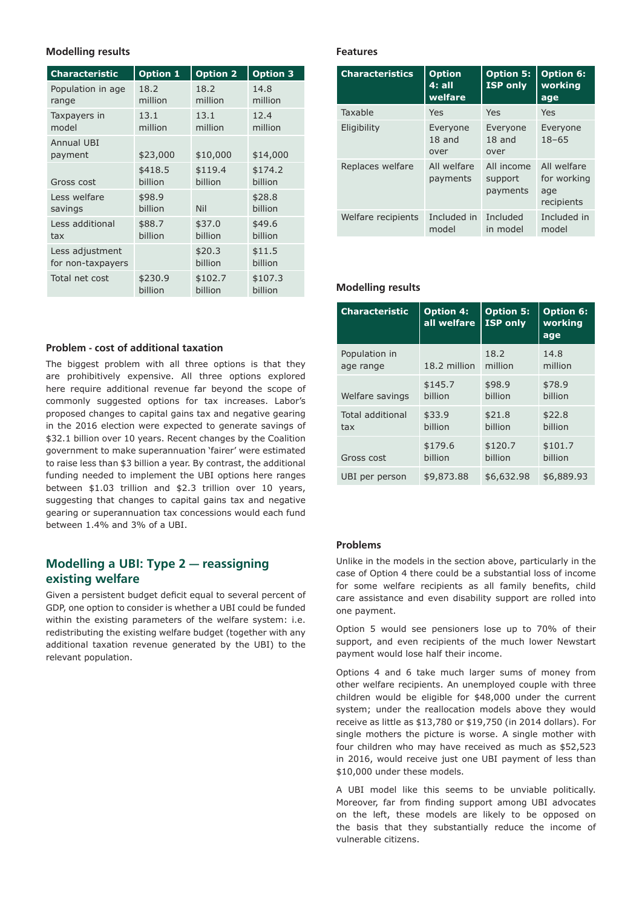#### **Modelling results**

| <b>Characteristic</b>        | <b>Option 1</b> | <b>Option 2</b> | <b>Option 3</b> |
|------------------------------|-----------------|-----------------|-----------------|
| Population in age            | 18.2            | 18.2            | 14.8            |
| range                        | million         | million         | million         |
| Taxpayers in                 | 13.1            | 13.1            | 12.4            |
| model                        | million         | million         | million         |
| <b>Annual UBI</b><br>payment | \$23,000        | \$10,000        | \$14,000        |
| Gross cost                   | \$418.5         | \$119.4         | \$174.2         |
|                              | billion         | billion         | billion         |
| Less welfare                 | \$98.9          | Nil             | \$28.8          |
| savings                      | billion         |                 | billion         |
| Less additional              | \$88.7          | \$37.0          | \$49.6          |
| tax                          | billion         | billion         | billion         |
| Less adjustment              |                 | \$20.3          | \$11.5          |
| for non-taxpayers            |                 | billion         | billion         |
| Total net cost               | \$230.9         | \$102.7         | \$107.3         |
|                              | billion         | billion         | billion         |

#### **Problem - cost of additional taxation**

The biggest problem with all three options is that they are prohibitively expensive. All three options explored here require additional revenue far beyond the scope of commonly suggested options for tax increases. Labor's proposed changes to capital gains tax and negative gearing in the 2016 election were expected to generate savings of \$32.1 billion over 10 years. Recent changes by the Coalition government to make superannuation 'fairer' were estimated to raise less than \$3 billion a year. By contrast, the additional funding needed to implement the UBI options here ranges between \$1.03 trillion and \$2.3 trillion over 10 years, suggesting that changes to capital gains tax and negative gearing or superannuation tax concessions would each fund between 1.4% and 3% of a UBI.

# **Modelling a UBI: Type 2 — reassigning existing welfare**

Given a persistent budget deficit equal to several percent of GDP, one option to consider is whether a UBI could be funded within the existing parameters of the welfare system: i.e. redistributing the existing welfare budget (together with any additional taxation revenue generated by the UBI) to the relevant population.

#### **Features**

| <b>Characteristics</b> | <b>Option</b><br>4: all<br>welfare | <b>Option 5:</b><br><b>ISP</b> only | <b>Option 6:</b><br>working<br>age              |
|------------------------|------------------------------------|-------------------------------------|-------------------------------------------------|
| Taxable                | Yes                                | Yes                                 | Yes                                             |
| Eligibility            | Everyone<br>$18$ and<br>over       | Everyone<br>$18$ and<br>over        | Everyone<br>$18 - 65$                           |
| Replaces welfare       | All welfare<br>payments            | All income<br>support<br>payments   | All welfare<br>for working<br>age<br>recipients |
| Welfare recipients     | Included in<br>model               | Included<br>in model                | Included in<br>model                            |

#### **Modelling results**

| <b>Characteristic</b> | <b>Option 4:</b><br>all welfare | <b>Option 5:</b><br><b>ISP only</b> | <b>Option 6:</b><br>working<br>age |
|-----------------------|---------------------------------|-------------------------------------|------------------------------------|
| Population in         | 18.2 million                    | 18.2                                | 14.8                               |
| age range             |                                 | million                             | million                            |
| Welfare savings       | \$145.7                         | \$98.9                              | \$78.9                             |
|                       | billion                         | billion                             | billion                            |
| Total additional      | \$33.9                          | \$21.8                              | \$22.8                             |
| tax                   | billion                         | billion                             | billion                            |
| Gross cost            | \$179.6                         | \$120.7                             | \$101.7                            |
|                       | billion                         | billion                             | billion                            |
| UBI per person        | \$9,873.88                      | \$6,632.98                          | \$6,889.93                         |

#### **Problems**

Unlike in the models in the section above, particularly in the case of Option 4 there could be a substantial loss of income for some welfare recipients as all family benefits, child care assistance and even disability support are rolled into one payment.

Option 5 would see pensioners lose up to 70% of their support, and even recipients of the much lower Newstart payment would lose half their income.

Options 4 and 6 take much larger sums of money from other welfare recipients. An unemployed couple with three children would be eligible for \$48,000 under the current system; under the reallocation models above they would receive as little as \$13,780 or \$19,750 (in 2014 dollars). For single mothers the picture is worse. A single mother with four children who may have received as much as \$52,523 in 2016, would receive just one UBI payment of less than \$10,000 under these models.

A UBI model like this seems to be unviable politically. Moreover, far from finding support among UBI advocates on the left, these models are likely to be opposed on the basis that they substantially reduce the income of vulnerable citizens.